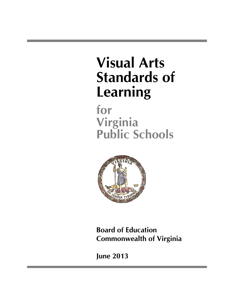# **Visual Arts Standards of Learning**

**for Virginia Public Schools**



**Board of Education Commonwealth of Virginia**

**June 2013**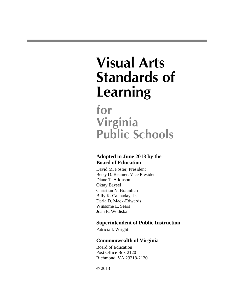# **Visual Arts Standards of Learning**

**for Virginia Public Schools**

### **Adopted in June 2013 by the Board of Education**

David M. Foster, President Betsy D. Beamer, Vice President Diane T. Atkinson Oktay Baysel Christian N. Braunlich Billy K. Cannaday, Jr. Darla D. Mack-Edwards Winsome E. Sears Joan E. Wodiska

### **Superintendent of Public Instruction**

Patricia I. Wright

### **Commonwealth of Virginia**

Board of Education Post Office Box 2120 Richmond, VA 23218-2120

© 2013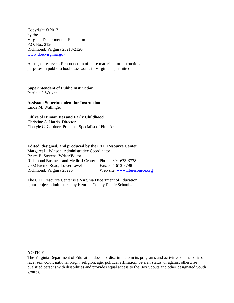Copyright © 2013 by the Virginia Department of Education P.O. Box 2120 Richmond, Virginia 23218-2120 [www.doe.virginia.gov](http://www.doe.virginia.gov/)

All rights reserved. Reproduction of these materials for instructional purposes in public school classrooms in Virginia is permitted.

**Superintendent of Public Instruction**

Patricia I. Wright

**Assistant Superintendent for Instruction** Linda M. Wallinger

### **Office of Humanities and Early Childhood**

Christine A. Harris, Director Cheryle C. Gardner, Principal Specialist of Fine Arts

#### **Edited, designed, and produced by the CTE Resource Center**

Margaret L. Watson, Administrative Coordinator Bruce B. Stevens, Writer/Editor Richmond Business and Medical Center Phone: 804-673-3778 2002 Bremo Road, Lower Level Fax: 804-673-3798 Richmond, Virginia 23226 Web site: [www.cteresource.org](http://www.cteresource.org/)

The CTE Resource Center is a Virginia Department of Education grant project administered by Henrico County Public Schools.

#### **NOTICE**

The Virginia Department of Education does not discriminate in its programs and activities on the basis of race, sex, color, national origin, religion, age, political affiliation, veteran status, or against otherwise qualified persons with disabilities and provides equal access to the Boy Scouts and other designated youth groups.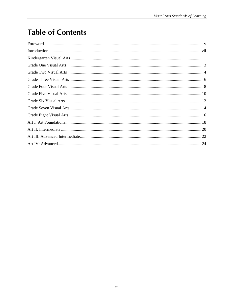# **Table of Contents**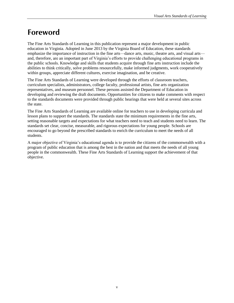# **Foreword**

The Fine Arts Standards of Learning in this publication represent a major development in public education in Virginia. Adopted in June 2013 by the Virginia Board of Education, these standards emphasize the importance of instruction in the fine arts—dance arts, music, theatre arts, and visual arts and, therefore, are an important part of Virginia's efforts to provide challenging educational programs in the public schools. Knowledge and skills that students acquire through fine arts instruction include the abilities to think critically, solve problems resourcefully, make informed judgments, work cooperatively within groups, appreciate different cultures, exercise imagination, and be creative.

The Fine Arts Standards of Learning were developed through the efforts of classroom teachers, curriculum specialists, administrators, college faculty, professional artists, fine arts organization representatives, and museum personnel. These persons assisted the Department of Education in developing and reviewing the draft documents. Opportunities for citizens to make comments with respect to the standards documents were provided through public hearings that were held at several sites across the state.

The Fine Arts Standards of Learning are available online for teachers to use in developing curricula and lesson plans to support the standards. The standards state the minimum requirements in the fine arts, setting reasonable targets and expectations for what teachers need to teach and students need to learn. The standards set clear, concise, measurable, and rigorous expectations for young people. Schools are encouraged to go beyond the prescribed standards to enrich the curriculum to meet the needs of all students.

A major objective of Virginia's educational agenda is to provide the citizens of the commonwealth with a program of public education that is among the best in the nation and that meets the needs of all young people in the commonwealth. These Fine Arts Standards of Learning support the achievement of that objective.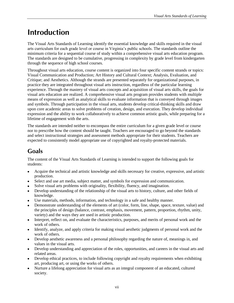# **Introduction**

The Visual Arts Standards of Learning identify the essential knowledge and skills required in the visual arts curriculum for each grade level or course in Virginia's public schools. The standards outline the minimum criteria for a sequential course of study within a comprehensive visual arts education program. The standards are designed to be cumulative, progressing in complexity by grade level from kindergarten through the sequence of high school courses.

Throughout visual arts education, course content is organized into four specific content strands or topics: Visual Communication and Production; Art History and Cultural Context; Analysis, Evaluation, and Critique; and Aesthetics. Although the strands are presented separately for organizational purposes, in practice they are integrated throughout visual arts instruction, regardless of the particular learning experience. Through the mastery of visual arts concepts and acquisition of visual arts skills, the goals for visual arts education are realized. A comprehensive visual arts program provides students with multiple means of expression as well as analytical skills to evaluate information that is conveyed through images and symbols. Through participation in the visual arts, students develop critical-thinking skills and draw upon core academic areas to solve problems of creation, design, and execution. They develop individual expression and the ability to work collaboratively to achieve common artistic goals, while preparing for a lifetime of engagement with the arts.

The standards are intended neither to encompass the entire curriculum for a given grade level or course nor to prescribe how the content should be taught. Teachers are encouraged to go beyond the standards and select instructional strategies and assessment methods appropriate for their students. Teachers are expected to consistently model appropriate use of copyrighted and royalty-protected materials.

### **Goals**

The content of the Visual Arts Standards of Learning is intended to support the following goals for students:

- Acquire the technical and artistic knowledge and skills necessary for creative, expressive, and artistic production.
- Select and use art media, subject matter, and symbols for expression and communication.
- Solve visual arts problems with originality, flexibility, fluency, and imagination.
- Develop understanding of the relationship of the visual arts to history, culture, and other fields of knowledge.
- Use materials, methods, information, and technology in a safe and healthy manner.  $\bullet$
- Demonstrate understanding of the elements of art (color, form, line, shape, space, texture, value) and the principles of design (balance, contrast, emphasis, movement, pattern, proportion, rhythm, unity, variety) and the ways they are used in artistic production.
- Interpret, reflect on, and evaluate the characteristics, purposes, and merits of personal work and the  $\bullet$ work of others.
- Identify, analyze, and apply criteria for making visual aesthetic judgments of personal work and the work of others.
- Develop aesthetic awareness and a personal philosophy regarding the nature of, meanings in, and values in the visual arts.
- Develop understanding and appreciation of the roles, opportunities, and careers in the visual arts and related areas.
- Develop ethical practices, to include following copyright and royalty requirements when exhibiting art, producing art, or using the works of others.
- Nurture a lifelong appreciation for visual arts as an integral component of an educated, cultured society.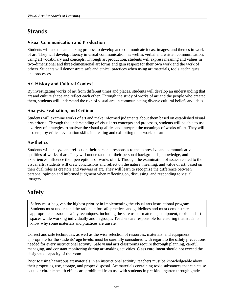### **Strands**

### **Visual Communication and Production**

Students will use the art-making process to develop and communicate ideas, images, and themes in works of art. They will develop fluency in visual communication, as well as verbal and written communication, using art vocabulary and concepts. Through art production, students will express meaning and values in two-dimensional and three-dimensional art forms and gain respect for their own work and the work of others. Students will demonstrate safe and ethical practices when using art materials, tools, techniques, and processes.

### **Art History and Cultural Context**

By investigating works of art from different times and places, students will develop an understanding that art and culture shape and reflect each other. Through the study of works of art and the people who created them, students will understand the role of visual arts in communicating diverse cultural beliefs and ideas.

### **Analysis, Evaluation, and Critique**

Students will examine works of art and make informed judgments about them based on established visual arts criteria. Through the understanding of visual arts concepts and processes, students will be able to use a variety of strategies to analyze the visual qualities and interpret the meanings of works of art. They will also employ critical evaluation skills in creating and exhibiting their works of art.

### **Aesthetics**

Students will analyze and reflect on their personal responses to the expressive and communicative qualities of works of art. They will understand that their personal backgrounds, knowledge, and experiences influence their perceptions of works of art. Through the examination of issues related to the visual arts, students will draw conclusions and reflect on the nature, meaning, and value of art, based on their dual roles as creators and viewers of art. They will learn to recognize the difference between personal opinion and informed judgment when reflecting on, discussing, and responding to visual imagery.

### **Safety**

Safety must be given the highest priority in implementing the visual arts instructional program. Students must understand the rationale for safe practices and guidelines and must demonstrate appropriate classroom safety techniques, including the safe use of materials, equipment, tools, and art spaces while working individually and in groups. Teachers are responsible for ensuring that students know why some materials and practices are unsafe.

Correct and safe techniques, as well as the wise selection of resources, materials, and equipment appropriate for the students' age levels, must be carefully considered with regard to the safety precautions needed for every instructional activity. Safe visual arts classrooms require thorough planning, careful managing, and constant monitoring during art-making activities. Class enrollment should not exceed the designated capacity of the room.

Prior to using hazardous art materials in an instructional activity, teachers must be knowledgeable about their properties, use, storage, and proper disposal. Art materials containing toxic substances that can cause acute or chronic health effects are prohibited from use with students in pre-kindergarten through grade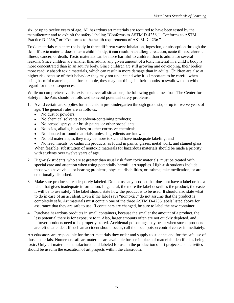six, or up to twelve years of age. All hazardous art materials are required to have been tested by the manufacturer and to exhibit the safety labeling "Conforms to ASTM D-4236," "Conforms to ASTM Practice D-4236," or "Conforms to the health requirements of ASTM D-4236."

Toxic materials can enter the body in three different ways: inhalation, ingestion, or absorption through the skin. If toxic material does enter a child's body, it can result in an allergic reaction, acute illness, chronic illness, cancer, or death. Toxic materials can be more harmful to children than to adults for several reasons. Since children are smaller than adults, any given amount of a toxic material in a child's body is more concentrated than in an adult's body. Since children are still growing and developing, their bodies more readily absorb toxic materials, which can result in more damage than in adults. Children are also at higher risk because of their behavior: they may not understand why it is important to be careful when using harmful materials, and, for example, they may put things in their mouths or swallow them without regard for the consequences.

While no comprehensive list exists to cover all situations, the following guidelines from The Center for Safety in the Arts should be followed to avoid potential safety problems:

- 1. Avoid certain art supplies for students in pre-kindergarten through grade six, or up to twelve years of age. The general rules are as follows:
	- $\bullet$ No dust or powders;
	- No chemical solvents or solvent-containing products;  $\bullet$
	- No aerosol sprays, air brush paints, or other propellants;  $\bullet$
	- $\bullet$ No acids, alkalis, bleaches, or other corrosive chemicals;
	- No donated or found materials, unless ingredients are known;
	- No old materials, as they may be more toxic and have inadequate labeling; and
	- No lead, metals, or cadmium products, as found in paints, glazes, metal work, and stained glass. When feasible, substitution of nontoxic materials for hazardous materials should be made a priority with students over twelve years of age.
- 2. High-risk students, who are at greater than usual risk from toxic materials, must be treated with special care and attention when using potentially harmful art supplies. High-risk students include those who have visual or hearing problems, physical disabilities, or asthma; take medication; or are emotionally disturbed.
- 3. Make sure products are adequately labeled. Do not use any product that does not have a label or has a label that gives inadequate information. In general, the more the label describes the product, the easier it will be to use safely. The label should state how the product is to be used. It should also state what to do in case of an accident. Even if the label says "nontoxic," do not assume that the product is completely safe. Art materials must contain one of the three ASTM D-4236 labels listed above for assurance that they are safe to use. If containers are changed, be sure to label the new container.
- 4. Purchase hazardous products in small containers, because the smaller the amount of a product, the less potential there is for exposure to it. Also, larger amounts often are not quickly depleted, and leftover products need to be properly stored. Accidental poisonings may occur when stored products are left unattended. If such an accident should occur, call the local poison control center immediately.

Art educators are responsible for the art materials they order and supply to students and for the safe use of those materials. Numerous safe art materials are available for use in place of materials identified as being toxic. Only art materials manufactured and labeled for use in the production of art projects and activities should be used in the execution of art projects within the classroom.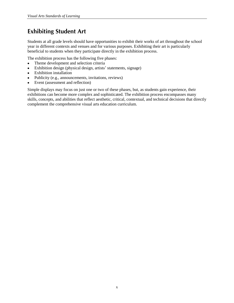### **Exhibiting Student Art**

Students at all grade levels should have opportunities to exhibit their works of art throughout the school year in different contexts and venues and for various purposes. Exhibiting their art is particularly beneficial to students when they participate directly in the exhibition process.

The exhibition process has the following five phases:

- Theme development and selection criteria  $\bullet$
- Exhibition design (physical design, artists' statements, signage)  $\bullet$
- Exhibition installation  $\bullet$
- Publicity (e.g., announcements, invitations, reviews)  $\bullet$
- Event (assessment and reflection)  $\bullet$

Simple displays may focus on just one or two of these phases, but, as students gain experience, their exhibitions can become more complex and sophisticated. The exhibition process encompasses many skills, concepts, and abilities that reflect aesthetic, critical, contextual, and technical decisions that directly complement the comprehensive visual arts education curriculum.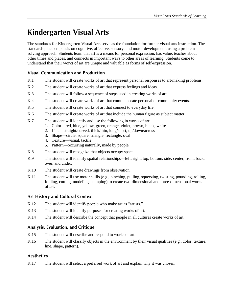# **Kindergarten Visual Arts**

The standards for Kindergarten Visual Arts serve as the foundation for further visual arts instruction. The standards place emphasis on cognitive, affective, sensory, and motor development, using a problemsolving approach. Students learn that art is a means for personal expression, has value, teaches about other times and places, and connects in important ways to other areas of learning. Students come to understand that their works of art are unique and valuable as forms of self-expression.

### **Visual Communication and Production**

- K.1 The student will create works of art that represent personal responses to art-making problems.
- K.2 The student will create works of art that express feelings and ideas.
- K.3 The student will follow a sequence of steps used in creating works of art.
- K.4 The student will create works of art that commemorate personal or community events.
- K.5 The student will create works of art that connect to everyday life.
- K.6 The student will create works of art that include the human figure as subject matter.
- K.7 The student will identify and use the following in works of art:
	- 1. Color—red, blue, yellow, green, orange, violet, brown, black, white
	- 2. Line—straight/curved, thick/thin, long/short, up/down/across
	- 3. Shape—circle, square, triangle, rectangle, oval
	- 4. Texture—visual, tactile
	- 5. Pattern—occurring naturally, made by people
- K.8 The student will recognize that objects occupy space.
- K.9 The student will identify spatial relationships—left, right, top, bottom, side, center, front, back, over, and under.
- K.10 The student will create drawings from observation.
- K.11 The student will use motor skills (e.g., pinching, pulling, squeezing, twisting, pounding, rolling, folding, cutting, modeling, stamping) to create two-dimensional and three-dimensional works of art.

#### **Art History and Cultural Context**

- K.12 The student will identify people who make art as "artists."
- K.13 The student will identify purposes for creating works of art.
- K.14 The student will describe the concept that people in all cultures create works of art.

#### **Analysis, Evaluation, and Critique**

- K.15 The student will describe and respond to works of art.
- K.16 The student will classify objects in the environment by their visual qualities (e.g., color, texture, line, shape, pattern).

#### **Aesthetics**

K.17 The student will select a preferred work of art and explain why it was chosen.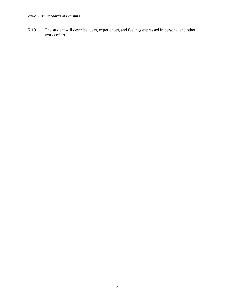K.18 The student will describe ideas, experiences, and feelings expressed in personal and other works of art.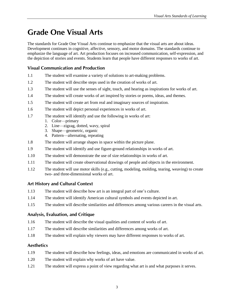# **Grade One Visual Arts**

The standards for Grade One Visual Arts continue to emphasize that the visual arts are about ideas. Development continues in cognitive, affective, sensory, and motor domains. The standards continue to emphasize the language of art. Art production focuses on increased communication, self-expression, and the depiction of stories and events. Students learn that people have different responses to works of art.

### **Visual Communication and Production**

- 1.1 The student will examine a variety of solutions to art-making problems.
- 1.2 The student will describe steps used in the creation of works of art.
- 1.3 The student will use the senses of sight, touch, and hearing as inspirations for works of art.
- 1.4 The student will create works of art inspired by stories or poems, ideas, and themes.
- 1.5 The student will create art from real and imaginary sources of inspiration.
- 1.6 The student will depict personal experiences in works of art.
- 1.7 The student will identify and use the following in works of art:
	- 1. Color—primary
	- 2. Line—zigzag, dotted, wavy, spiral
	- 3. Shape—geometric, organic
	- 4. Pattern—alternating, repeating
- 1.8 The student will arrange shapes in space within the picture plane.
- 1.9 The student will identify and use figure-ground relationships in works of art.
- 1.10 The student will demonstrate the use of size relationships in works of art.
- 1.11 The student will create observational drawings of people and objects in the environment.
- 1.12 The student will use motor skills (e.g., cutting, modeling, molding, tearing, weaving) to create two- and three-dimensional works of art.

#### **Art History and Cultural Context**

- 1.13 The student will describe how art is an integral part of one's culture.
- 1.14 The student will identify American cultural symbols and events depicted in art.
- 1.15 The student will describe similarities and differences among various careers in the visual arts.

#### **Analysis, Evaluation, and Critique**

- 1.16 The student will describe the visual qualities and content of works of art.
- 1.17 The student will describe similarities and differences among works of art.
- 1.18 The student will explain why viewers may have different responses to works of art.

- 1.19 The student will describe how feelings, ideas, and emotions are communicated in works of art.
- 1.20 The student will explain why works of art have value.
- 1.21 The student will express a point of view regarding what art is and what purposes it serves.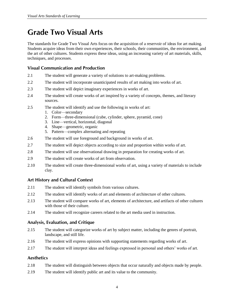# **Grade Two Visual Arts**

The standards for Grade Two Visual Arts focus on the acquisition of a reservoir of ideas for art making. Students acquire ideas from their own experiences, their schools, their communities, the environment, and the art of other cultures. Students express these ideas, using an increasing variety of art materials, skills, techniques, and processes.

#### **Visual Communication and Production**

- 2.1 The student will generate a variety of solutions to art-making problems.
- 2.2 The student will incorporate unanticipated results of art making into works of art.
- 2.3 The student will depict imaginary experiences in works of art.
- 2.4 The student will create works of art inspired by a variety of concepts, themes, and literary sources.
- 2.5 The student will identify and use the following in works of art:
	- 1. Color—secondary
	- 2. Form—three-dimensional (cube, cylinder, sphere, pyramid, cone)
	- 3. Line—vertical, horizontal, diagonal
	- 4. Shape—geometric, organic
	- 5. Pattern—complex alternating and repeating
- 2.6 The student will use foreground and background in works of art.
- 2.7 The student will depict objects according to size and proportion within works of art.
- 2.8 The student will use observational drawing in preparation for creating works of art.
- 2.9 The student will create works of art from observation.
- 2.10 The student will create three-dimensional works of art, using a variety of materials to include clay.

#### **Art History and Cultural Context**

- 2.11 The student will identify symbols from various cultures.
- 2.12 The student will identify works of art and elements of architecture of other cultures.
- 2.13 The student will compare works of art, elements of architecture, and artifacts of other cultures with those of their culture.
- 2.14 The student will recognize careers related to the art media used in instruction.

#### **Analysis, Evaluation, and Critique**

- 2.15 The student will categorize works of art by subject matter, including the genres of portrait, landscape, and still life.
- 2.16 The student will express opinions with supporting statements regarding works of art.
- 2.17 The student will interpret ideas and feelings expressed in personal and others' works of art.

- 2.18 The student will distinguish between objects that occur naturally and objects made by people.
- 2.19 The student will identify public art and its value to the community.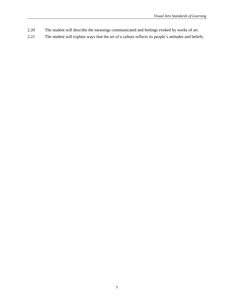- 2.20 The student will describe the meanings communicated and feelings evoked by works of art.
- 2.21 The student will explain ways that the art of a culture reflects its people's attitudes and beliefs.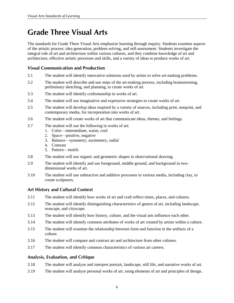# **Grade Three Visual Arts**

The standards for Grade Three Visual Arts emphasize learning through inquiry. Students examine aspects of the artistic process: idea generation, problem solving, and self-assessment. Students investigate the integral role of art and architecture within various cultures, and they combine knowledge of art and architecture, effective artistic processes and skills, and a variety of ideas to produce works of art.

#### **Visual Communication and Production**

- 3.1 The student will identify innovative solutions used by artists to solve art-making problems.
- 3.2 The student will describe and use steps of the art-making process, including brainstorming, preliminary sketching, and planning, to create works of art.
- 3.3 The student will identify craftsmanship in works of art.
- 3.4 The student will use imaginative and expressive strategies to create works of art.
- 3.5 The student will develop ideas inspired by a variety of sources, including print, nonprint, and contemporary media, for incorporation into works of art.
- 3.6 The student will create works of art that communicate ideas, themes, and feelings.
- 3.7 The student will use the following in works of art:
	- 1. Color—intermediate, warm, cool
	- 2. Space—positive, negative
	- 3. Balance—symmetry, asymmetry, radial
	- 4. Contrast
	- 5. Pattern—motifs
- 3.8 The student will use organic and geometric shapes in observational drawing.
- 3.9 The student will identify and use foreground, middle ground, and background in twodimensional works of art.
- 3.10 The student will use subtractive and additive processes in various media, including clay, to create sculptures.

#### **Art History and Cultural Context**

- 3.11 The student will identify how works of art and craft reflect times, places, and cultures.
- 3.12 The student will identify distinguishing characteristics of genres of art, including landscape, seascape, and cityscape.
- 3.13 The student will identify how history, culture, and the visual arts influence each other.
- 3.14 The student will identify common attributes of works of art created by artists within a culture.
- 3.15 The student will examine the relationship between form and function in the artifacts of a culture.
- 3.16 The student will compare and contrast art and architecture from other cultures.
- 3.17 The student will identify common characteristics of various art careers.

#### **Analysis, Evaluation, and Critique**

- 3.18 The student will analyze and interpret portrait, landscape, still life, and narrative works of art.
- 3.19 The student will analyze personal works of art, using elements of art and principles of design.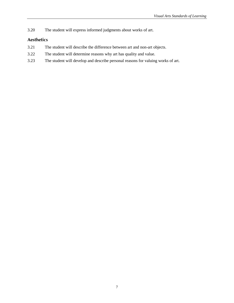3.20 The student will express informed judgments about works of art.

- 3.21 The student will describe the difference between art and non-art objects.
- 3.22 The student will determine reasons why art has quality and value.
- 3.23 The student will develop and describe personal reasons for valuing works of art.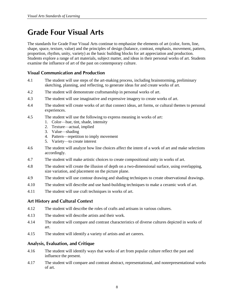# **Grade Four Visual Arts**

The standards for Grade Four Visual Arts continue to emphasize the elements of art (color, form, line, shape, space, texture, value) and the principles of design (balance, contrast, emphasis, movement, pattern, proportion, rhythm, unity, variety) as the basic building blocks for art appreciation and production. Students explore a range of art materials, subject matter, and ideas in their personal works of art. Students examine the influence of art of the past on contemporary culture.

### **Visual Communication and Production**

- 4.1 The student will use steps of the art-making process, including brainstorming, preliminary sketching, planning, and reflecting, to generate ideas for and create works of art.
- 4.2 The student will demonstrate craftsmanship in personal works of art.
- 4.3 The student will use imaginative and expressive imagery to create works of art.
- 4.4 The student will create works of art that connect ideas, art forms, or cultural themes to personal experiences.
- 4.5 The student will use the following to express meaning in works of art:
	- 1. Color—hue, tint, shade, intensity
	- 2. Texture—actual, implied
	- 3. Value—shading
	- 4. Pattern—repetition to imply movement
	- 5. Variety—to create interest
- 4.6 The student will analyze how line choices affect the intent of a work of art and make selections accordingly.
- 4.7 The student will make artistic choices to create compositional unity in works of art.
- 4.8 The student will create the illusion of depth on a two-dimensional surface, using overlapping, size variation, and placement on the picture plane.
- 4.9 The student will use contour drawing and shading techniques to create observational drawings.
- 4.10 The student will describe and use hand-building techniques to make a ceramic work of art.
- 4.11 The student will use craft techniques in works of art.

#### **Art History and Cultural Context**

- 4.12 The student will describe the roles of crafts and artisans in various cultures.
- 4.13 The student will describe artists and their work.
- 4.14 The student will compare and contrast characteristics of diverse cultures depicted in works of art.
- 4.15 The student will identify a variety of artists and art careers.

#### **Analysis, Evaluation, and Critique**

- 4.16 The student will identify ways that works of art from popular culture reflect the past and influence the present.
- 4.17 The student will compare and contrast abstract, representational, and nonrepresentational works of art.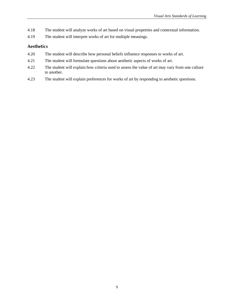- 4.18 The student will analyze works of art based on visual properties and contextual information.
- 4.19 The student will interpret works of art for multiple meanings.

- 4.20 The student will describe how personal beliefs influence responses to works of art.
- 4.21 The student will formulate questions about aesthetic aspects of works of art.
- 4.22 The student will explain how criteria used to assess the value of art may vary from one culture to another.
- 4.23 The student will explain preferences for works of art by responding to aesthetic questions.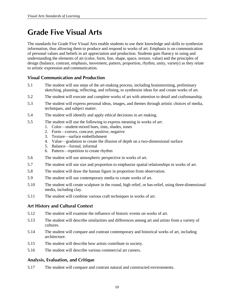# **Grade Five Visual Arts**

The standards for Grade Five Visual Arts enable students to use their knowledge and skills to synthesize information, thus allowing them to produce and respond to works of art. Emphasis is on communication of personal values and beliefs in art appreciation and production. Students gain fluency in using and understanding the elements of art (color, form, line, shape, space, texture, value) and the principles of design (balance, contrast, emphasis, movement, pattern, proportion, rhythm, unity, variety) as they relate to artistic expression and communication.

#### **Visual Communication and Production**

- 5.1 The student will use steps of the art-making process, including brainstorming, preliminary sketching, planning, reflecting, and refining, to synthesize ideas for and create works of art.
- 5.2 The student will execute and complete works of art with attention to detail and craftsmanship.
- 5.3 The student will express personal ideas, images, and themes through artistic choices of media, techniques, and subject matter.
- 5.4 The student will identify and apply ethical decisions in art making.
- 5.5 The student will use the following to express meaning in works of art:
	- 1. Color—student-mixed hues, tints, shades, tones
	- 2. Form—convex, concave, positive, negative
	- 3. Texture—surface embellishment
	- 4. Value—gradation to create the illusion of depth on a two-dimensional surface
	- 5. Balance—formal, informal
	- 6. Pattern—repetition to create rhythm
- 5.6 The student will use atmospheric perspective in works of art.
- 5.7 The student will use size and proportion to emphasize spatial relationships in works of art.
- 5.8 The student will draw the human figure in proportion from observation.
- 5.9 The student will use contemporary media to create works of art.
- 5.10 The student will create sculpture in the round, high relief, or bas-relief, using three-dimensional media, including clay.
- 5.11 The student will combine various craft techniques in works of art.

#### **Art History and Cultural Context**

- 5.12 The student will examine the influence of historic events on works of art.
- 5.13 The student will describe similarities and differences among art and artists from a variety of cultures.
- 5.14 The student will compare and contrast contemporary and historical works of art, including architecture.
- 5.15 The student will describe how artists contribute to society.
- 5.16 The student will describe various commercial art careers.

#### **Analysis, Evaluation, and Critique**

5.17 The student will compare and contrast natural and constructed environments.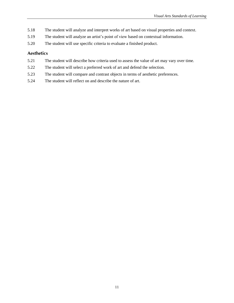- 5.18 The student will analyze and interpret works of art based on visual properties and context.
- 5.19 The student will analyze an artist's point of view based on contextual information.
- 5.20 The student will use specific criteria to evaluate a finished product.

- 5.21 The student will describe how criteria used to assess the value of art may vary over time.
- 5.22 The student will select a preferred work of art and defend the selection.
- 5.23 The student will compare and contrast objects in terms of aesthetic preferences.
- 5.24 The student will reflect on and describe the nature of art.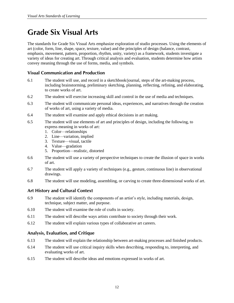# **Grade Six Visual Arts**

The standards for Grade Six Visual Arts emphasize exploration of studio processes. Using the elements of art (color, form, line, shape, space, texture, value) and the principles of design (balance, contrast, emphasis, movement, pattern, proportion, rhythm, unity, variety) as a framework, students investigate a variety of ideas for creating art. Through critical analysis and evaluation, students determine how artists convey meaning through the use of forms, media, and symbols.

#### **Visual Communication and Production**

- 6.1 The student will use, and record in a sketchbook/journal, steps of the art-making process, including brainstorming, preliminary sketching, planning, reflecting, refining, and elaborating, to create works of art.
- 6.2 The student will exercise increasing skill and control in the use of media and techniques.
- 6.3 The student will communicate personal ideas, experiences, and narratives through the creation of works of art, using a variety of media.
- 6.4 The student will examine and apply ethical decisions in art making.
- 6.5 The student will use elements of art and principles of design, including the following, to express meaning in works of art:
	- 1. Color—relationships
	- 2. Line—variation, implied
	- 3. Texture—visual, tactile
	- 4. Value—gradation
	- 5. Proportion—realistic, distorted
- 6.6 The student will use a variety of perspective techniques to create the illusion of space in works of art.
- 6.7 The student will apply a variety of techniques (e.g., gesture, continuous line) in observational drawings.
- 6.8 The student will use modeling, assembling, or carving to create three-dimensional works of art.

#### **Art History and Cultural Context**

- 6.9 The student will identify the components of an artist's style, including materials, design, technique, subject matter, and purpose.
- 6.10 The student will examine the role of crafts in society.
- 6.11 The student will describe ways artists contribute to society through their work.
- 6.12 The student will explain various types of collaborative art careers.

#### **Analysis, Evaluation, and Critique**

- 6.13 The student will explain the relationship between art-making processes and finished products.
- 6.14 The student will use critical inquiry skills when describing, responding to, interpreting, and evaluating works of art.
- 6.15 The student will describe ideas and emotions expressed in works of art.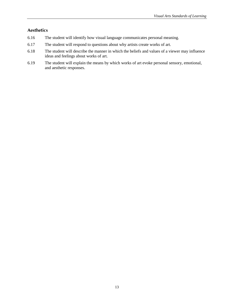- 6.16 The student will identify how visual language communicates personal meaning.
- 6.17 The student will respond to questions about why artists create works of art.
- 6.18 The student will describe the manner in which the beliefs and values of a viewer may influence ideas and feelings about works of art.
- 6.19 The student will explain the means by which works of art evoke personal sensory, emotional, and aesthetic responses.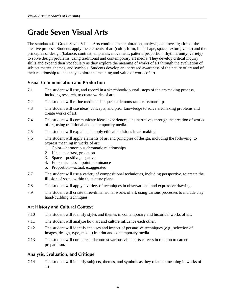# **Grade Seven Visual Arts**

The standards for Grade Seven Visual Arts continue the exploration, analysis, and investigation of the creative process. Students apply the elements of art (color, form, line, shape, space, texture, value) and the principles of design (balance, contrast, emphasis, movement, pattern, proportion, rhythm, unity, variety) to solve design problems, using traditional and contemporary art media. They develop critical inquiry skills and expand their vocabulary as they explore the meaning of works of art through the evaluation of subject matter, themes, and symbols. Students develop an increased awareness of the nature of art and of their relationship to it as they explore the meaning and value of works of art.

#### **Visual Communication and Production**

- 7.1 The student will use, and record in a sketchbook/journal, steps of the art-making process, including research, to create works of art.
- 7.2 The student will refine media techniques to demonstrate craftsmanship.
- 7.3 The student will use ideas, concepts, and prior knowledge to solve art-making problems and create works of art.
- 7.4 The student will communicate ideas, experiences, and narratives through the creation of works of art, using traditional and contemporary media.
- 7.5 The student will explain and apply ethical decisions in art making.
- 7.6 The student will apply elements of art and principles of design, including the following, to express meaning in works of art:
	- 1. Color—harmonious chromatic relationships
	- 2. Line—contrast, gradation
	- 3. Space—positive, negative
	- 4. Emphasis—focal point, dominance
	- 5. Proportion—actual, exaggerated
- 7.7 The student will use a variety of compositional techniques, including perspective, to create the illusion of space within the picture plane.
- 7.8 The student will apply a variety of techniques in observational and expressive drawing.
- 7.9 The student will create three-dimensional works of art, using various processes to include clay hand-building techniques.

#### **Art History and Cultural Context**

- 7.10 The student will identify styles and themes in contemporary and historical works of art.
- 7.11 The student will analyze how art and culture influence each other.
- 7.12 The student will identify the uses and impact of persuasive techniques (e.g., selection of images, design, type, media) in print and contemporary media.
- 7.13 The student will compare and contrast various visual arts careers in relation to career preparation.

#### **Analysis, Evaluation, and Critique**

7.14 The student will identify subjects, themes, and symbols as they relate to meaning in works of art.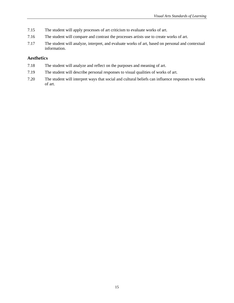- 7.15 The student will apply processes of art criticism to evaluate works of art.
- 7.16 The student will compare and contrast the processes artists use to create works of art.
- 7.17 The student will analyze, interpret, and evaluate works of art, based on personal and contextual information.

- 7.18 The student will analyze and reflect on the purposes and meaning of art.
- 7.19 The student will describe personal responses to visual qualities of works of art.
- 7.20 The student will interpret ways that social and cultural beliefs can influence responses to works of art.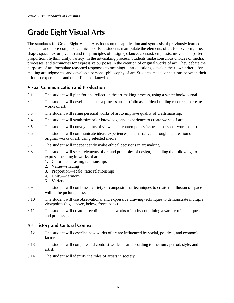# **Grade Eight Visual Arts**

The standards for Grade Eight Visual Arts focus on the application and synthesis of previously learned concepts and more complex technical skills as students manipulate the elements of art (color, form, line, shape, space, texture, value) and the principles of design (balance, contrast, emphasis, movement, pattern, proportion, rhythm, unity, variety) in the art-making process. Students make conscious choices of media, processes, and techniques for expressive purposes in the creation of original works of art. They debate the purposes of art, formulate reasoned responses to meaningful art questions, develop their own criteria for making art judgments, and develop a personal philosophy of art. Students make connections between their prior art experiences and other fields of knowledge.

### **Visual Communication and Production**

- 8.1 The student will plan for and reflect on the art-making process, using a sketchbook/journal.
- 8.2 The student will develop and use a process art portfolio as an idea-building resource to create works of art.
- 8.3 The student will refine personal works of art to improve quality of craftsmanship.
- 8.4 The student will synthesize prior knowledge and experience to create works of art.
- 8.5 The student will convey points of view about contemporary issues in personal works of art.
- 8.6 The student will communicate ideas, experiences, and narratives through the creation of original works of art, using selected media.
- 8.7 The student will independently make ethical decisions in art making.
- 8.8 The student will select elements of art and principles of design, including the following, to express meaning in works of art:
	- 1. Color—contrasting relationships
	- 2. Value—shading
	- 3. Proportion—scale, ratio relationships
	- 4. Unity—harmony
	- 5. Variety
- 8.9 The student will combine a variety of compositional techniques to create the illusion of space within the picture plane.
- 8.10 The student will use observational and expressive drawing techniques to demonstrate multiple viewpoints (e.g., above, below, front, back).
- 8.11 The student will create three-dimensional works of art by combining a variety of techniques and processes.

#### **Art History and Cultural Context**

- 8.12 The student will describe how works of art are influenced by social, political, and economic factors.
- 8.13 The student will compare and contrast works of art according to medium, period, style, and artist.
- 8.14 The student will identify the roles of artists in society.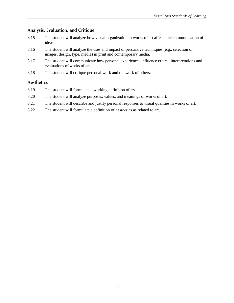### **Analysis, Evaluation, and Critique**

- 8.15 The student will analyze how visual organization in works of art affects the communication of ideas.
- 8.16 The student will analyze the uses and impact of persuasive techniques (e.g., selection of images, design, type, media) in print and contemporary media.
- 8.17 The student will communicate how personal experiences influence critical interpretations and evaluations of works of art.
- 8.18 The student will critique personal work and the work of others.

- 8.19 The student will formulate a working definition of *art*.
- 8.20 The student will analyze purposes, values, and meanings of works of art.
- 8.21 The student will describe and justify personal responses to visual qualities in works of art.
- 8.22 The student will formulate a definition of *aesthetics* as related to art.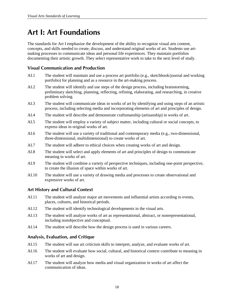## **Art I: Art Foundations**

The standards for Art I emphasize the development of the ability to recognize visual arts content, concepts, and skills needed to create, discuss, and understand original works of art. Students use artmaking processes to communicate ideas and personal life experiences. They maintain portfolios documenting their artistic growth. They select representative work to take to the next level of study.

#### **Visual Communication and Production**

- AI.1 The student will maintain and use a process art portfolio (e.g., sketchbook/journal and working portfolio) for planning and as a resource in the art-making process.
- AI.2 The student will identify and use steps of the design process, including brainstorming, preliminary sketching, planning, reflecting, refining, elaborating, and researching, in creative problem solving.
- AI.3 The student will communicate ideas in works of art by identifying and using steps of an artistic process, including selecting media and incorporating elements of art and principles of design.
- AI.4 The student will describe and demonstrate craftsmanship (artisanship) in works of art.
- AI.5 The student will employ a variety of subject matter, including cultural or social concepts, to express ideas in original works of art.
- AI.6 The student will use a variety of traditional and contemporary media (e.g., two-dimensional, three-dimensional, multidimensional) to create works of art.
- AI.7 The student will adhere to ethical choices when creating works of art and design.
- AI.8 The student will select and apply elements of art and principles of design to communicate meaning in works of art.
- AI.9 The student will combine a variety of perspective techniques, including one-point perspective, to create the illusion of space within works of art.
- AI.10 The student will use a variety of drawing media and processes to create observational and expressive works of art.

#### **Art History and Cultural Context**

- AI.11 The student will analyze major art movements and influential artists according to events, places, cultures, and historical periods.
- AI.12 The student will identify technological developments in the visual arts.
- AI.13 The student will analyze works of art as representational, abstract, or nonrepresentational, including nonobjective and conceptual.
- AI.14 The student will describe how the design process is used in various careers.

#### **Analysis, Evaluation, and Critique**

- AI.15 The student will use art criticism skills to interpret, analyze, and evaluate works of art.
- AI.16 The student will evaluate how social, cultural, and historical context contribute to meaning in works of art and design.
- AI.17 The student will analyze how media and visual organization in works of art affect the communication of ideas.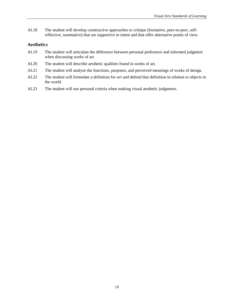AI.18 The student will develop constructive approaches to critique (formative, peer-to-peer, selfreflective, summative) that are supportive in intent and that offer alternative points of view.

- AI.19 The student will articulate the difference between personal preference and informed judgment when discussing works of art.
- AI.20 The student will describe aesthetic qualities found in works of art.
- AI.21 The student will analyze the functions, purposes, and perceived meanings of works of design.
- AI.22 The student will formulate a definition for *art* and defend that definition in relation to objects in the world.
- AI.23 The student will use personal criteria when making visual aesthetic judgments.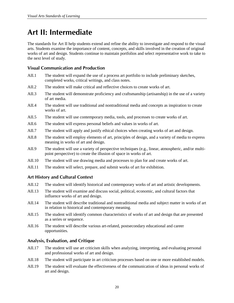# **Art II: Intermediate**

The standards for Art II help students extend and refine the ability to investigate and respond to the visual arts. Students examine the importance of content, concepts, and skills involved in the creation of original works of art and design. Students continue to maintain portfolios and select representative work to take to the next level of study.

#### **Visual Communication and Production**

- AII.1 The student will expand the use of a process art portfolio to include preliminary sketches, completed works, critical writings, and class notes.
- AII.2 The student will make critical and reflective choices to create works of art.
- AII.3 The student will demonstrate proficiency and craftsmanship (artisanship) in the use of a variety of art media.
- AII.4 The student will use traditional and nontraditional media and concepts as inspiration to create works of art.
- AII.5 The student will use contemporary media, tools, and processes to create works of art.
- AII.6 The student will express personal beliefs and values in works of art.
- AII.7 The student will apply and justify ethical choices when creating works of art and design.
- AII.8 The student will employ elements of art, principles of design, and a variety of media to express meaning in works of art and design.
- AII.9 The student will use a variety of perspective techniques (e.g., linear, atmospheric, and/or multipoint perspective) to create the illusion of space in works of art.
- AII.10 The student will use drawing media and processes to plan for and create works of art.
- AII.11 The student will select, prepare, and submit works of art for exhibition.

#### **Art History and Cultural Context**

- AII.12 The student will identify historical and contemporary works of art and artistic developments.
- AII.13 The student will examine and discuss social, political, economic, and cultural factors that influence works of art and design.
- AII.14 The student will describe traditional and nontraditional media and subject matter in works of art in relation to historical and contemporary meaning.
- AII.15 The student will identify common characteristics of works of art and design that are presented as a series or sequence.
- AII.16 The student will describe various art-related, postsecondary educational and career opportunities.

#### **Analysis, Evaluation, and Critique**

- AII.17 The student will use art criticism skills when analyzing, interpreting, and evaluating personal and professional works of art and design.
- AII.18 The student will participate in art criticism processes based on one or more established models.
- AII.19 The student will evaluate the effectiveness of the communication of ideas in personal works of art and design.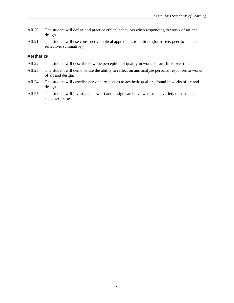- AII.20 The student will define and practice ethical behaviors when responding to works of art and design.
- AII.21 The student will use constructive critical approaches to critique (formative, peer-to-peer, selfreflective, summative).

- AII.22 The student will describe how the perception of quality in works of art shifts over time.
- AII.23 The student will demonstrate the ability to reflect on and analyze personal responses to works of art and design.
- AII.24 The student will describe personal responses to aesthetic qualities found in works of art and design.
- AII.25 The student will investigate how art and design can be viewed from a variety of aesthetic stances/theories.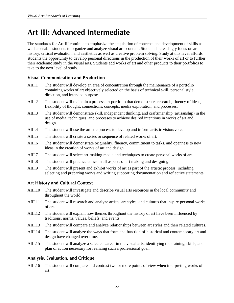# **Art III: Advanced Intermediate**

The standards for Art III continue to emphasize the acquisition of concepts and development of skills as well as enable students to organize and analyze visual arts content. Students increasingly focus on art history, critical evaluation, and aesthetics as well as creative problem solving. Study at this level affords students the opportunity to develop personal directions in the production of their works of art or to further their academic study in the visual arts. Students add works of art and other products to their portfolios to take to the next level of study.

#### **Visual Communication and Production**

- AIII.1 The student will develop an area of concentration through the maintenance of a portfolio containing works of art objectively selected on the basis of technical skill, personal style, direction, and intended purpose.
- AIII.2 The student will maintain a process art portfolio that demonstrates research, fluency of ideas, flexibility of thought, connections, concepts, media exploration, and processes.
- AIII.3 The student will demonstrate skill, independent thinking, and craftsmanship (artisanship) in the use of media, techniques, and processes to achieve desired intentions in works of art and design.
- AIII.4 The student will use the artistic process to develop and inform artistic vision/voice.
- AIII.5 The student will create a series or sequence of related works of art.
- AIII.6 The student will demonstrate originality, fluency, commitment to tasks, and openness to new ideas in the creation of works of art and design.
- AIII.7 The student will select art-making media and techniques to create personal works of art.
- AIII.8 The student will practice ethics in all aspects of art making and designing.
- AIII.9 The student will present and exhibit works of art as part of the artistic process, including selecting and preparing works and writing supporting documentation and reflective statements.

#### **Art History and Cultural Context**

- AIII.10 The student will investigate and describe visual arts resources in the local community and throughout the world.
- AIII.11 The student will research and analyze artists, art styles, and cultures that inspire personal works of art.
- AIII.12 The student will explain how themes throughout the history of art have been influenced by traditions, norms, values, beliefs, and events.
- AIII.13 The student will compare and analyze relationships between art styles and their related cultures.
- AIII.14 The student will analyze the ways that form and function of historical and contemporary art and design have changed over time.
- AIII.15 The student will analyze a selected career in the visual arts, identifying the training, skills, and plan of action necessary for realizing such a professional goal.

#### **Analysis, Evaluation, and Critique**

AIII.16 The student will compare and contrast two or more points of view when interpreting works of art.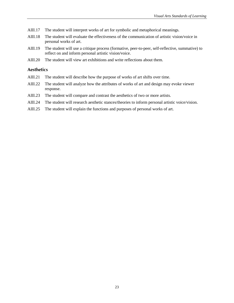- AIII.17 The student will interpret works of art for symbolic and metaphorical meanings.
- AIII.18 The student will evaluate the effectiveness of the communication of artistic vision/voice in personal works of art.
- AIII.19 The student will use a critique process (formative, peer-to-peer, self-reflective, summative) to reflect on and inform personal artistic vision/voice.
- AIII.20 The student will view art exhibitions and write reflections about them.

- AIII.21 The student will describe how the purpose of works of art shifts over time.
- AIII.22 The student will analyze how the attributes of works of art and design may evoke viewer response.
- AIII.23 The student will compare and contrast the aesthetics of two or more artists.
- AIII.24 The student will research aesthetic stances/theories to inform personal artistic voice/vision.
- AIII.25 The student will explain the functions and purposes of personal works of art.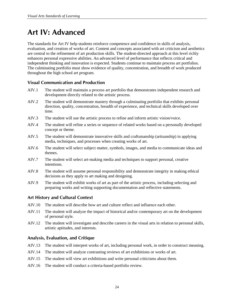# **Art IV: Advanced**

The standards for Art IV help students reinforce competence and confidence in skills of analysis, evaluation, and creation of works of art. Content and concepts associated with art criticism and aesthetics are central to the refinement of art production skills. The student-directed approach at this level richly enhances personal expressive abilities. An advanced level of performance that reflects critical and independent thinking and innovation is expected. Students continue to maintain process art portfolios. The culminating portfolio must show evidence of quality, concentration, and breadth of work produced throughout the high school art program.

#### **Visual Communication and Production**

- AIV.1 The student will maintain a process art portfolio that demonstrates independent research and development directly related to the artistic process.
- AIV.2 The student will demonstrate mastery through a culminating portfolio that exhibits personal direction, quality, concentration, breadth of experience, and technical skills developed over time.
- AIV.3 The student will use the artistic process to refine and inform artistic vision/voice.
- AIV.4 The student will refine a series or sequence of related works based on a personally developed concept or theme.
- AIV.5 The student will demonstrate innovative skills and craftsmanship (artisanship) in applying media, techniques, and processes when creating works of art.
- AIV.6 The student will select subject matter, symbols, images, and media to communicate ideas and themes.
- AIV.7 The student will select art-making media and techniques to support personal, creative intentions.
- AIV.8 The student will assume personal responsibility and demonstrate integrity in making ethical decisions as they apply to art making and designing.
- AIV.9 The student will exhibit works of art as part of the artistic process, including selecting and preparing works and writing supporting documentation and reflective statements.

#### **Art History and Cultural Context**

- AIV.10 The student will describe how art and culture reflect and influence each other.
- AIV.11 The student will analyze the impact of historical and/or contemporary art on the development of personal style.
- AIV.12 The student will investigate and describe careers in the visual arts in relation to personal skills, artistic aptitudes, and interests.

#### **Analysis, Evaluation, and Critique**

- AIV.13 The student will interpret works of art, including personal work, in order to construct meaning.
- AIV.14 The student will analyze contrasting reviews of art exhibitions or works of art.
- AIV.15 The student will view art exhibitions and write personal criticisms about them.
- AIV.16 The student will conduct a criteria-based portfolio review.